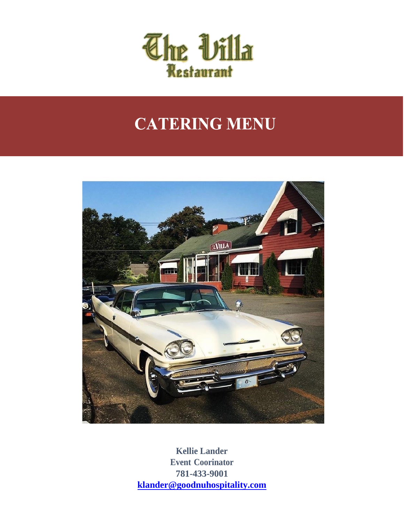

# **CATERING MENU**



**Kellie Lander Event Coorinator 781-433-9001 [klander@goodnuhospitality.com](mailto:klander@goodnuhospitality.com)**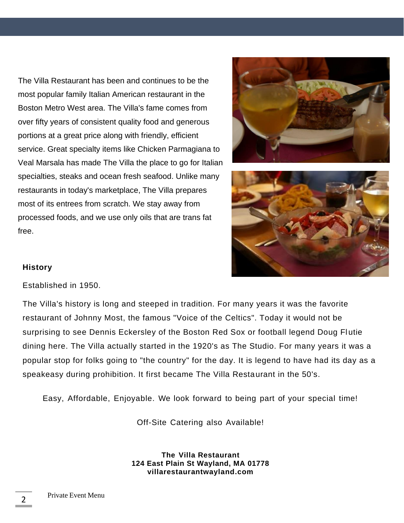The Villa Restaurant has been and continues to be the most popular family Italian American restaurant in the Boston Metro West area. The Villa's fame comes from over fifty years of consistent quality food and generous portions at a great price along with friendly, efficient service. Great specialty items like Chicken Parmagiana to Veal Marsala has made The Villa the place to go for Italian specialties, steaks and ocean fresh seafood. Unlike many restaurants in today's marketplace, The Villa prepares most of its entrees from scratch. We stay away from processed foods, and we use only oils that are trans fat free.





#### **History**

Established in 1950.

The Villa's history is long and steeped in tradition. For many years it was the favorite restaurant of Johnny Most, the famous "Voice of the Celtics". Today it would not be surprising to see Dennis Eckersley of the Boston Red Sox or football legend Doug Flutie dining here. The Villa actually started in the 1920's as The Studio. For many years it was a popular stop for folks going to "the country" for the day. It is legend to have had its day as a speakeasy during prohibition. It first became The Villa Restaurant in the 50's.

Easy, Affordable, Enjoyable. We look forward to being part of your special time!

Off-Site Catering also Available!

**The Villa Restaurant 124 East Plain St Wayland, MA 01778 [villarestaurantwayland.com](https://thebiltmoregrill.com/menu/)**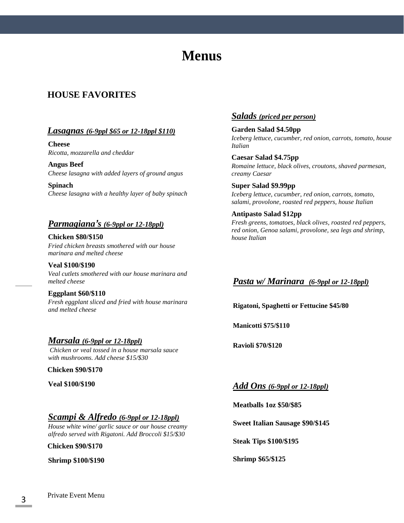## **Menus**

## **HOUSE FAVORITES**

#### *Lasagnas (6-9ppl \$65 or 12-18ppl \$110)*

**Cheese** *Ricotta, mozzarella and cheddar*

**Angus Beef** *Cheese lasagna with added layers of ground angus*

**Spinach** *Cheese lasagna with a healthy layer of baby spinach*

#### *Parmagiana's (6-9ppl or 12-18ppl)*

**Chicken \$80/\$150** *Fried chicken breasts smothered with our house marinara and melted cheese*

**Veal \$100/\$190** *Veal cutlets smothered with our house marinara and melted cheese*

**Eggplant \$60/\$110** *Fresh eggplant sliced and fried with house marinara and melted cheese*

#### *Marsala (6-9ppl or 12-18ppl) Chicken or veal tossed in a house marsala sauce*

*with mushrooms. Add cheese \$15/\$30*

**Chicken \$90/\$170**

**Veal \$100/\$190**

#### *Scampi & Alfredo (6-9ppl or 12-18ppl)*

*House white wine/ garlic sauce or our house creamy alfredo served with Rigatoni. Add Broccoli \$15/\$30*

**Chicken \$90/\$170**

**Shrimp \$100/\$190**

## *Salads (priced per person)*

**Garden Salad \$4.50pp** *Iceberg lettuce, cucumber, red onion, carrots, tomato, house Italian*

**Caesar Salad \$4.75pp** *Romaine lettuce, black olives, croutons, shaved parmesan, creamy Caesar*

**Super Salad \$9.99pp** *Iceberg lettuce, cucumber, red onion, carrots, tomato, salami, provolone, roasted red peppers, house Italian*

**Antipasto Salad \$12pp** *Fresh greens, tomatoes, black olives, roasted red peppers, red onion, Genoa salami, provolone, sea legs and shrimp, house Italian*

## *Pasta w/ Marinara (6-9ppl or 12-18ppl)*

**Rigatoni, Spaghetti or Fettucine \$45/80**

**Manicotti \$75/\$110**

**Ravioli \$70/\$120**

*Add Ons (6-9ppl or 12-18ppl)*

**Meatballs 1oz \$50/\$85**

**Sweet Italian Sausage \$90/\$145**

**Steak Tips \$100/\$195**

**Shrimp \$65/\$125**

Private Event Menu 3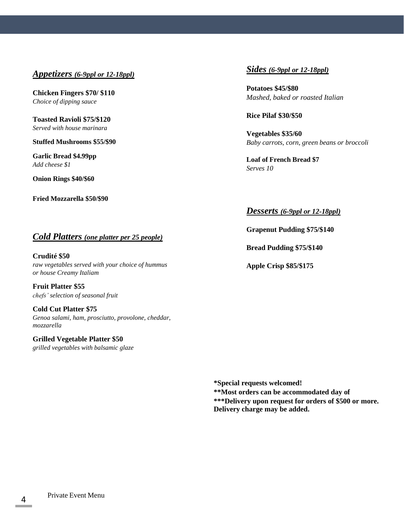### *Appetizers (6-9ppl or 12-18ppl)*

**Chicken Fingers \$70/ \$110** *Choice of dipping sauce*

**Toasted Ravioli \$75/\$120** *Served with house marinara*

**Stuffed Mushrooms \$55/\$90**

**Garlic Bread \$4.99pp**  *Add cheese \$1*

**Onion Rings \$40/\$60**

**Fried Mozzarella \$50/\$90**

### *Cold Platters (one platter per 25 people)*

**Crudité \$50** *raw vegetables served with your choice of hummus or house Creamy Italiam*

**Fruit Platter \$55** *chefs' selection of seasonal fruit*

**Cold Cut Platter \$75** *Genoa salami, ham, prosciutto, provolone, cheddar, mozzarella*

**Grilled Vegetable Platter \$50** *grilled vegetables with balsamic glaze*

#### *Sides (6-9ppl or 12-18ppl)*

**Potatoes \$45/\$80** *Mashed, baked or roasted Italian*

**Rice Pilaf \$30/\$50**

**Vegetables \$35/60** *Baby carrots, corn, green beans or broccoli*

**Loaf of French Bread \$7** *Serves 10*

#### *Desserts (6-9ppl or 12-18ppl)*

**Grapenut Pudding \$75/\$140**

**Bread Pudding \$75/\$140**

**Apple Crisp \$85/\$175**

**\*Special requests welcomed! \*\*Most orders can be accommodated day of \*\*\*Delivery upon request for orders of \$500 or more. Delivery charge may be added.**